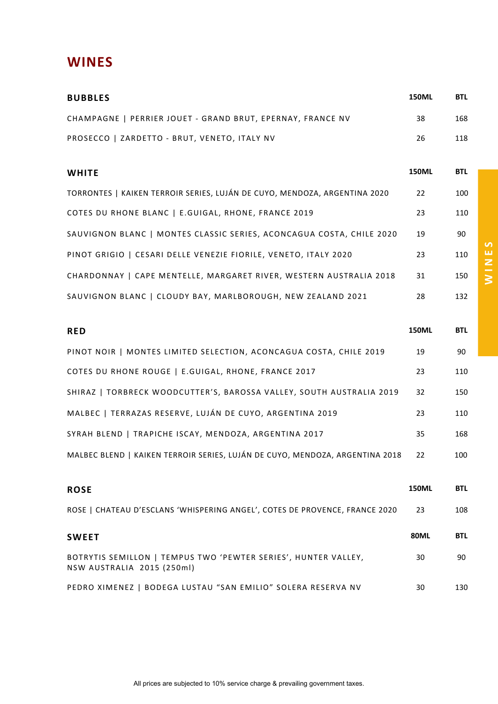## **WINES**

| <b>BUBBLES</b>                                                                               | <b>150ML</b> | <b>BTL</b> |
|----------------------------------------------------------------------------------------------|--------------|------------|
| CHAMPAGNE   PERRIER JOUET - GRAND BRUT, EPERNAY, FRANCE NV                                   | 38           | 168        |
| PROSECCO   ZARDETTO - BRUT, VENETO, ITALY NV                                                 | 26           | 118        |
| <b>WHITE</b>                                                                                 | <b>150ML</b> | <b>BTL</b> |
| TORRONTES   KAIKEN TERROIR SERIES, LUJÁN DE CUYO, MENDOZA, ARGENTINA 2020                    | 22           | 100        |
| COTES DU RHONE BLANC   E.GUIGAL, RHONE, FRANCE 2019                                          | 23           | 110        |
| SAUVIGNON BLANC   MONTES CLASSIC SERIES, ACONCAGUA COSTA, CHILE 2020                         | 19           | 90         |
| PINOT GRIGIO   CESARI DELLE VENEZIE FIORILE, VENETO, ITALY 2020                              | 23           | 110        |
| CHARDONNAY   CAPE MENTELLE, MARGARET RIVER, WESTERN AUSTRALIA 2018                           | 31           | 150        |
| SAUVIGNON BLANC   CLOUDY BAY, MARLBOROUGH, NEW ZEALAND 2021                                  | 28           | 132        |
| <b>RED</b>                                                                                   | <b>150ML</b> | <b>BTL</b> |
| PINOT NOIR   MONTES LIMITED SELECTION, ACONCAGUA COSTA, CHILE 2019                           | 19           | 90         |
| COTES DU RHONE ROUGE   E.GUIGAL, RHONE, FRANCE 2017                                          | 23           | 110        |
| SHIRAZ   TORBRECK WOODCUTTER'S, BAROSSA VALLEY, SOUTH AUSTRALIA 2019                         | 32           | 150        |
| MALBEC   TERRAZAS RESERVE, LUJÁN DE CUYO, ARGENTINA 2019                                     | 23           | 110        |
| SYRAH BLEND   TRAPICHE ISCAY, MENDOZA, ARGENTINA 2017                                        | 35           | 168        |
| MALBEC BLEND   KAIKEN TERROIR SERIES, LUJÁN DE CUYO, MENDOZA, ARGENTINA 2018                 | 22           | 100        |
| <b>ROSE</b>                                                                                  | <b>150ML</b> | <b>BTL</b> |
| ROSE   CHATEAU D'ESCLANS 'WHISPERING ANGEL', COTES DE PROVENCE, FRANCE 2020                  | 23           | 108        |
| <b>SWEET</b>                                                                                 | <b>80ML</b>  | <b>BTL</b> |
| BOTRYTIS SEMILLON   TEMPUS TWO 'PEWTER SERIES', HUNTER VALLEY,<br>NSW AUSTRALIA 2015 (250ml) | 30           | 90         |
| PEDRO XIMENEZ   BODEGA LUSTAU "SAN EMILIO" SOLERA RESERVA NV                                 | 30           | 130        |

**WINES**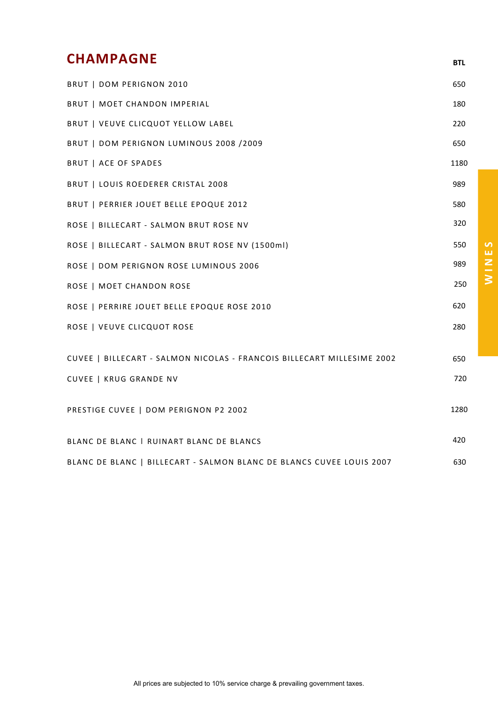## **CHAMPAGNE BTL**

| BRUT   DOM PERIGNON 2010                                               | 650  |
|------------------------------------------------------------------------|------|
| BRUT   MOET CHANDON IMPERIAL                                           | 180  |
| BRUT   VEUVE CLICQUOT YELLOW LABEL                                     | 220  |
| BRUT   DOM PERIGNON LUMINOUS 2008 /2009                                | 650  |
| <b>BRUT   ACE OF SPADES</b>                                            | 1180 |
| BRUT   LOUIS ROEDERER CRISTAL 2008                                     | 989  |
| BRUT   PERRIER JOUET BELLE EPOQUE 2012                                 | 580  |
| ROSE   BILLECART - SALMON BRUT ROSE NV                                 | 320  |
| ROSE   BILLECART - SALMON BRUT ROSE NV (1500ml)                        | 550  |
| ROSE   DOM PERIGNON ROSE LUMINOUS 2006                                 | 989  |
| ROSE   MOET CHANDON ROSE                                               | 250  |
| ROSE   PERRIRE JOUET BELLE EPOQUE ROSE 2010                            | 620  |
| ROSE   VEUVE CLICQUOT ROSE                                             | 280  |
|                                                                        |      |
| CUVEE   BILLECART - SALMON NICOLAS - FRANCOIS BILLECART MILLESIME 2002 | 650  |
| CUVEE   KRUG GRANDE NV                                                 | 720  |
| PRESTIGE CUVEE   DOM PERIGNON P2 2002                                  | 1280 |
|                                                                        |      |
| BLANC DE BLANC   RUINART BLANC DE BLANCS                               | 420  |
| BLANC DE BLANC   BILLECART - SALMON BLANC DE BLANCS CUVEE LOUIS 2007   | 630  |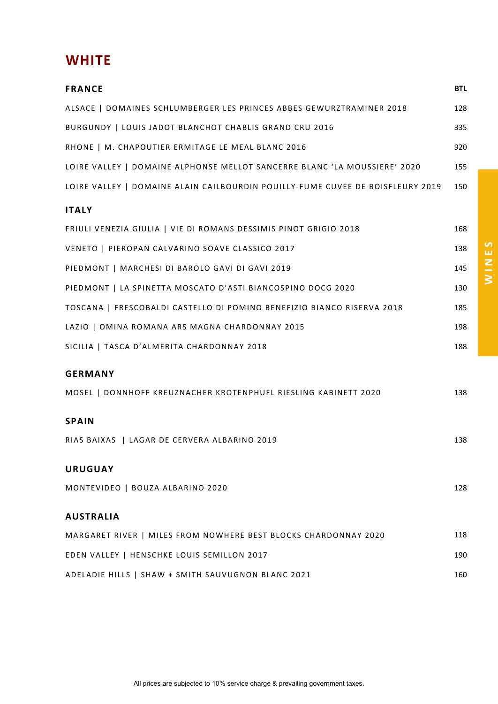## **WHITE**

| <b>FRANCE</b>                                                                  | <b>BTL</b> |
|--------------------------------------------------------------------------------|------------|
| ALSACE   DOMAINES SCHLUMBERGER LES PRINCES ABBES GEWURZTRAMINER 2018           | 128        |
| BURGUNDY   LOUIS JADOT BLANCHOT CHABLIS GRAND CRU 2016                         | 335        |
| RHONE   M. CHAPOUTIER ERMITAGE LE MEAL BLANC 2016                              | 920        |
| LOIRE VALLEY   DOMAINE ALPHONSE MELLOT SANCERRE BLANC 'LA MOUSSIERE' 2020      | 155        |
| LOIRE VALLEY   DOMAINE ALAIN CAILBOURDIN POUILLY-FUME CUVEE DE BOISFLEURY 2019 | 150        |
| <b>ITALY</b>                                                                   |            |
| FRIULI VENEZIA GIULIA   VIE DI ROMANS DESSIMIS PINOT GRIGIO 2018               | 168        |
| VENETO   PIEROPAN CALVARINO SOAVE CLASSICO 2017                                | 138        |
| PIEDMONT   MARCHESI DI BAROLO GAVI DI GAVI 2019                                | 145        |
| PIEDMONT   LA SPINETTA MOSCATO D'ASTI BIANCOSPINO DOCG 2020                    | 130        |
| TOSCANA   FRESCOBALDI CASTELLO DI POMINO BENEFIZIO BIANCO RISERVA 2018         | 185        |
| LAZIO   OMINA ROMANA ARS MAGNA CHARDONNAY 2015                                 | 198        |
| SICILIA   TASCA D'ALMERITA CHARDONNAY 2018                                     | 188        |
| <b>GERMANY</b>                                                                 |            |
| MOSEL   DONNHOFF KREUZNACHER KROTENPHUFL RIESLING KABINETT 2020                | 138        |
| <b>SPAIN</b>                                                                   |            |
| RIAS BAIXAS   LAGAR DE CERVERA ALBARINO 2019                                   | 138        |
| <b>URUGUAY</b>                                                                 |            |
| MONTEVIDEO   BOUZA ALBARINO 2020                                               | 128        |
| <b>AUSTRALIA</b>                                                               |            |
| MARGARET RIVER   MILES FROM NOWHERE BEST BLOCKS CHARDONNAY 2020                | 118        |
| EDEN VALLEY   HENSCHKE LOUIS SEMILLON 2017                                     | 190        |
| ADELADIE HILLS   SHAW + SMITH SAUVUGNON BLANC 2021                             | 160        |

**WINES**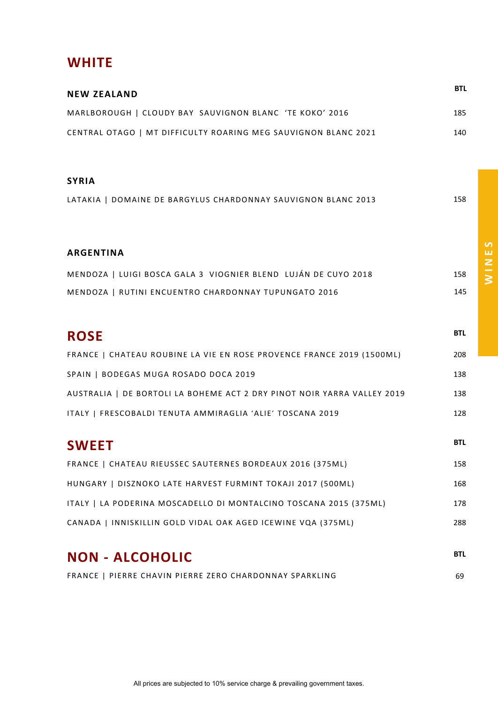## **WHITE**

| <b>NEW ZEALAND</b>                                             | <b>BTL</b> |
|----------------------------------------------------------------|------------|
| MARLBOROUGH   CLOUDY BAY SAUVIGNON BLANC 'TE KOKO' 2016        | 185        |
| CENTRAL OTAGO   MT DIFFICULTY ROARING MEG SAUVIGNON BLANC 2021 | 140        |
|                                                                |            |

#### **SYRIA**

| LATAKIA   DOMAINE DE BARGYLUS CHARDONNAY SAUVIGNON BLANC 2013 | 158 |
|---------------------------------------------------------------|-----|
|                                                               |     |

#### **ARGENTINA**

| MENDOZA   LUIGI BOSCA GALA 3 VIOGNIER BLEND LUJÁN DE CUYO 2018 |  | 158 |
|----------------------------------------------------------------|--|-----|
| MENDOZA   RUTINI ENCUENTRO CHARDONNAY TUPUNGATO 2016           |  | 145 |

## **ROSE** BILL BUT A RESERVE AND RESERVE ASSESSED ASSESSED ASSESSED ASSESSED ASSESSED ASSESSED ASSESSED AND RELATIONS AND RELATIONS OF A RELATIONS OF A RELATION OF A RELATION OF A RELATION OF A RELATION OF A RELATION OF A REL

| FRANCE   CHATEAU ROUBINE LA VIE EN ROSE PROVENCE FRANCE 2019 (1500ML)   | 208 |
|-------------------------------------------------------------------------|-----|
| SPAIN   BODEGAS MUGA ROSADO DOCA 2019                                   | 138 |
| AUSTRALIA   DE BORTOLI LA BOHEME ACT 2 DRY PINOT NOIR YARRA VALLEY 2019 | 138 |
| ITALY   FRESCOBALDI TENUTA AMMIRAGLIA 'ALIE' TOSCANA 2019               | 128 |

# **SWEET** BTL

| FRANCE   CHATEAU RIEUSSEC SAUTERNES BORDEAUX 2016 (375ML)         | 158 |
|-------------------------------------------------------------------|-----|
| HUNGARY   DISZNOKO LATE HARVEST FURMINT TOKAJI 2017 (500ML)       | 168 |
| ITALY   LA PODERINA MOSCADELLO DI MONTALCINO TOSCANA 2015 (375ML) | 178 |
| CANADA   INNISKILLIN GOLD VIDAL OAK AGED ICEWINE VQA (375ML)      | 288 |

# **NON - ALCOHOLIC BTL**

|  |  | FRANCE   PIERRE CHAVIN PIERRE ZERO CHARDONNAY SPARKLING |  |  |  |  | 69 |
|--|--|---------------------------------------------------------|--|--|--|--|----|
|--|--|---------------------------------------------------------|--|--|--|--|----|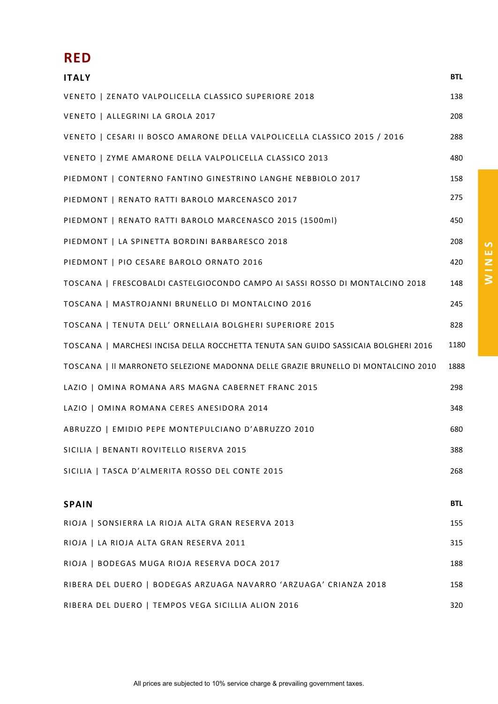# **RED**

| <b>ITALY</b>                                                                       | <b>BTL</b> |
|------------------------------------------------------------------------------------|------------|
| VENETO   ZENATO VALPOLICELLA CLASSICO SUPERIORE 2018                               | 138        |
| VENETO   ALLEGRINI LA GROLA 2017                                                   | 208        |
| VENETO   CESARI II BOSCO AMARONE DELLA VALPOLICELLA CLASSICO 2015 / 2016           | 288        |
| VENETO   ZYME AMARONE DELLA VALPOLICELLA CLASSICO 2013                             | 480        |
| PIEDMONT   CONTERNO FANTINO GINESTRINO LANGHE NEBBIOLO 2017                        | 158        |
| PIEDMONT   RENATO RATTI BAROLO MARCENASCO 2017                                     | 275        |
| PIEDMONT   RENATO RATTI BAROLO MARCENASCO 2015 (1500ml)                            | 450        |
| PIEDMONT   LA SPINETTA BORDINI BARBARESCO 2018                                     | 208        |
| PIEDMONT   PIO CESARE BAROLO ORNATO 2016                                           | 420        |
| TOSCANA   FRESCOBALDI CASTELGIOCONDO CAMPO AI SASSI ROSSO DI MONTALCINO 2018       | 148        |
| TOSCANA   MASTROJANNI BRUNELLO DI MONTALCINO 2016                                  | 245        |
| TOSCANA   TENUTA DELL' ORNELLAIA BOLGHERI SUPERIORE 2015                           | 828        |
| TOSCANA   MARCHESI INCISA DELLA ROCCHETTA TENUTA SAN GUIDO SASSICAIA BOLGHERI 2016 | 1180       |
| TOSCANA   II MARRONETO SELEZIONE MADONNA DELLE GRAZIE BRUNELLO DI MONTALCINO 2010  | 1888       |
| LAZIO   OMINA ROMANA ARS MAGNA CABERNET FRANC 2015                                 | 298        |
| LAZIO   OMINA ROMANA CERES ANESIDORA 2014                                          | 348        |
| ABRUZZO   EMIDIO PEPE MONTEPULCIANO D'ABRUZZO 2010                                 | 680        |
| SICILIA   BENANTI ROVITELLO RISERVA 2015                                           | 388        |
| SICILIA   TASCA D'ALMERITA ROSSO DEL CONTE 2015                                    | 268        |
|                                                                                    |            |
| <b>SPAIN</b>                                                                       | <b>BTL</b> |
| RIOJA   SONSIERRA LA RIOJA ALTA GRAN RESERVA 2013                                  | 155        |
| RIOJA   LA RIOJA ALTA GRAN RESERVA 2011                                            | 315        |
| RIOJA   BODEGAS MUGA RIOJA RESERVA DOCA 2017                                       | 188        |
| RIBERA DEL DUERO   BODEGAS ARZUAGA NAVARRO 'ARZUAGA' CRIANZA 2018                  | 158        |
| RIBERA DEL DUERO   TEMPOS VEGA SICILLIA ALION 2016                                 | 320        |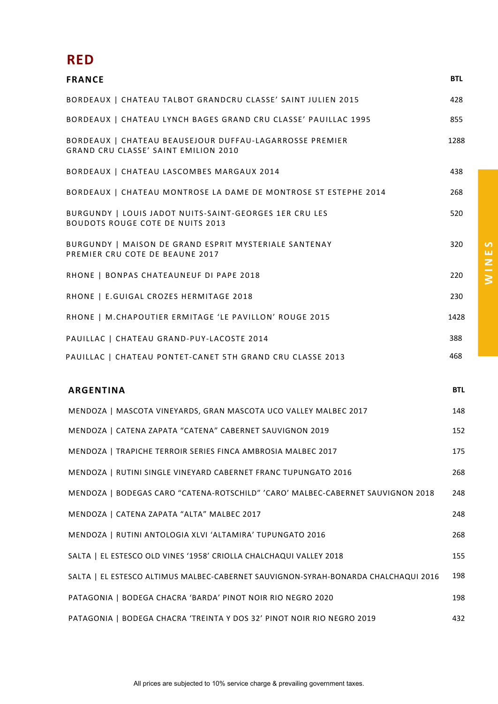## **RED**

| <b>FRANCE</b>                                                                                     | <b>BTL</b> |
|---------------------------------------------------------------------------------------------------|------------|
| BORDEAUX   CHATEAU TALBOT GRANDCRU CLASSE' SAINT JULIEN 2015                                      | 428        |
| BORDEAUX   CHATEAU LYNCH BAGES GRAND CRU CLASSE' PAUILLAC 1995                                    | 855        |
| BORDEAUX   CHATEAU BEAUSEJOUR DUFFAU-LAGARROSSE PREMIER<br>GRAND CRU CLASSE' SAINT EMILION 2010   | 1288       |
| BORDEAUX   CHATEAU LASCOMBES MARGAUX 2014                                                         | 438        |
| BORDEAUX   CHATEAU MONTROSE LA DAME DE MONTROSE ST ESTEPHE 2014                                   | 268        |
| BURGUNDY   LOUIS JADOT NUITS-SAINT-GEORGES 1ER CRU LES<br><b>BOUDOTS ROUGE COTE DE NUITS 2013</b> | 520        |
| BURGUNDY   MAISON DE GRAND ESPRIT MYSTERIALE SANTENAY<br>PREMIER CRU COTE DE BEAUNE 2017          | 320        |
| RHONE   BONPAS CHATEAUNEUF DI PAPE 2018                                                           | 220        |
| RHONE   E.GUIGAL CROZES HERMITAGE 2018                                                            | 230        |
| RHONE   M.CHAPOUTIER ERMITAGE 'LE PAVILLON' ROUGE 2015                                            | 1428       |
| PAUILLAC   CHATEAU GRAND-PUY-LACOSTE 2014                                                         | 388        |
| PAUILLAC   CHATEAU PONTET-CANET 5TH GRAND CRU CLASSE 2013                                         | 468        |
| <b>ARGENTINA</b>                                                                                  | <b>BTL</b> |
| MENDOZA   MASCOTA VINEYARDS, GRAN MASCOTA UCO VALLEY MALBEC 2017                                  | 148        |
| MENDOZA   CATENA ZAPATA "CATENA" CABERNET SAUVIGNON 2019                                          | 152        |
| MENDOZA   TRAPICHE TERROIR SERIES FINCA AMBROSIA MALBEC 2017                                      | 175        |
| MENDOZA   RUTINI SINGLE VINEYARD CABERNET FRANC TUPUNGATO 2016                                    | 268        |
| MENDOZA   BODEGAS CARO "CATENA-ROTSCHILD" 'CARO' MALBEC-CABERNET SAUVIGNON 2018                   | 248        |
| MENDOZA   CATENA ZAPATA "ALTA" MALBEC 2017                                                        | 248        |
| MENDOZA   RUTINI ANTOLOGIA XLVI 'ALTAMIRA' TUPUNGATO 2016                                         | 268        |
| SALTA   EL ESTESCO OLD VINES '1958' CRIOLLA CHALCHAQUI VALLEY 2018                                | 155        |
| SALTA   EL ESTESCO ALTIMUS MALBEC-CABERNET SAUVIGNON-SYRAH-BONARDA CHALCHAQUI 2016                | 198        |
| PATAGONIA   BODEGA CHACRA 'BARDA' PINOT NOIR RIO NEGRO 2020                                       | 198        |
| PATAGONIA   BODEGA CHACRA 'TREINTA Y DOS 32' PINOT NOIR RIO NEGRO 2019                            | 432        |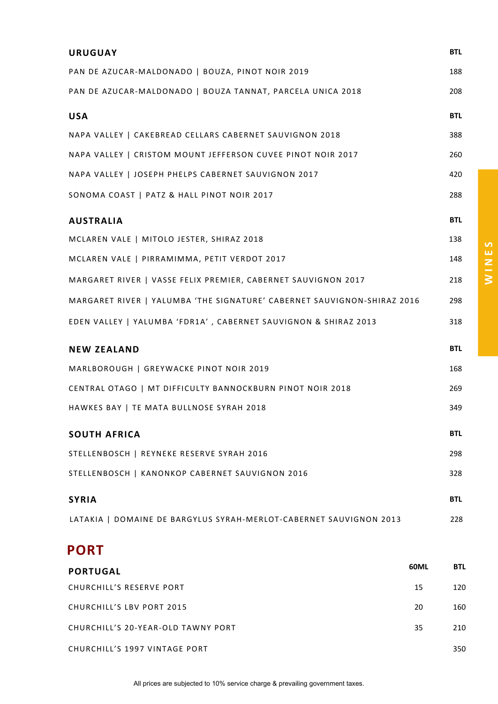| <b>URUGUAY</b>                                                          | <b>BTL</b> |
|-------------------------------------------------------------------------|------------|
| PAN DE AZUCAR-MALDONADO   BOUZA, PINOT NOIR 2019                        | 188        |
| PAN DE AZUCAR-MALDONADO   BOUZA TANNAT, PARCELA UNICA 2018              | 208        |
| <b>USA</b>                                                              | <b>BTL</b> |
| NAPA VALLEY   CAKEBREAD CELLARS CABERNET SAUVIGNON 2018                 | 388        |
| NAPA VALLEY   CRISTOM MOUNT JEFFERSON CUVEE PINOT NOIR 2017             | 260        |
| NAPA VALLEY   JOSEPH PHELPS CABERNET SAUVIGNON 2017                     | 420        |
| SONOMA COAST   PATZ & HALL PINOT NOIR 2017                              | 288        |
| <b>AUSTRALIA</b>                                                        | <b>BTL</b> |
| MCLAREN VALE   MITOLO JESTER, SHIRAZ 2018                               | 138        |
| MCLAREN VALE   PIRRAMIMMA, PETIT VERDOT 2017                            | 148        |
| MARGARET RIVER   VASSE FELIX PREMIER, CABERNET SAUVIGNON 2017           | 218        |
| MARGARET RIVER   YALUMBA 'THE SIGNATURE' CABERNET SAUVIGNON-SHIRAZ 2016 | 298        |
| EDEN VALLEY   YALUMBA 'FDR1A', CABERNET SAUVIGNON & SHIRAZ 2013         | 318        |
| <b>NEW ZEALAND</b>                                                      | <b>BTL</b> |
| MARLBOROUGH   GREYWACKE PINOT NOIR 2019                                 | 168        |
| CENTRAL OTAGO   MT DIFFICULTY BANNOCKBURN PINOT NOIR 2018               | 269        |
| HAWKES BAY   TE MATA BULLNOSE SYRAH 2018                                | 349        |
| <b>SOUTH AFRICA</b>                                                     | <b>BTL</b> |
| STELLENBOSCH   REYNEKE RESERVE SYRAH 2016                               | 298        |
| STELLENBOSCH   KANONKOP CABERNET SAUVIGNON 2016                         | 328        |
| <b>SYRIA</b>                                                            | <b>BTL</b> |
| LATAKIA   DOMAINE DE BARGYLUS SYRAH-MERLOT-CABERNET SAUVIGNON 2013      | 228        |
| <b>PORT</b>                                                             |            |
|                                                                         |            |

| <b>PORTUGAL</b>                    | 60ML | <b>BTL</b> |
|------------------------------------|------|------------|
| CHURCHILL'S RESERVE PORT           | 15   | 120        |
| CHURCHILL'S LBV PORT 2015          | 20   | 160        |
| CHURCHILL'S 20-YEAR-OLD TAWNY PORT | 35   | 210        |
| CHURCHILL'S 1997 VINTAGE PORT      |      | 350        |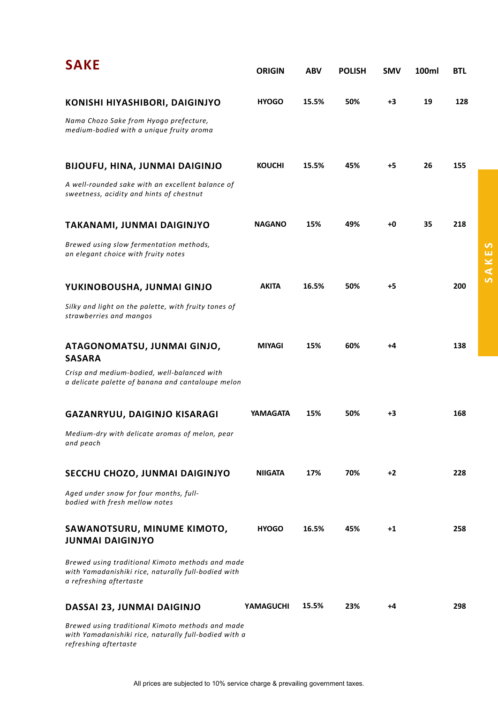| <b>SAKE</b>                                                                                                                        | <b>ORIGIN</b>    | <b>ABV</b> | <b>POLISH</b> | <b>SMV</b> | 100ml | <b>BTL</b> |
|------------------------------------------------------------------------------------------------------------------------------------|------------------|------------|---------------|------------|-------|------------|
| KONISHI HIYASHIBORI, DAIGINJYO                                                                                                     | <b>HYOGO</b>     | 15.5%      | 50%           | +3         | 19    | 128        |
| Nama Chozo Sake from Hyogo prefecture,<br>medium-bodied with a unique fruity aroma                                                 |                  |            |               |            |       |            |
| <b>BIJOUFU, HINA, JUNMAI DAIGINJO</b>                                                                                              | <b>KOUCHI</b>    | 15.5%      | 45%           | +5         | 26    | 155        |
| A well-rounded sake with an excellent balance of<br>sweetness, acidity and hints of chestnut                                       |                  |            |               |            |       |            |
| TAKANAMI, JUNMAI DAIGINJYO                                                                                                         | <b>NAGANO</b>    | 15%        | 49%           | +0         | 35    | 218        |
| Brewed using slow fermentation methods,<br>an elegant choice with fruity notes                                                     |                  |            |               |            |       |            |
| YUKINOBOUSHA, JUNMAI GINJO                                                                                                         | <b>AKITA</b>     | 16.5%      | 50%           | +5         |       | 200        |
| Silky and light on the palette, with fruity tones of<br>strawberries and mangos                                                    |                  |            |               |            |       |            |
| ATAGONOMATSU, JUNMAI GINJO,<br><b>SASARA</b>                                                                                       | <b>MIYAGI</b>    | 15%        | 60%           | +4         |       | 138        |
| Crisp and medium-bodied, well-balanced with<br>a delicate palette of banana and cantaloupe melon                                   |                  |            |               |            |       |            |
| GAZANRYUU, DAIGINJO KISARAGI                                                                                                       | YAMAGATA         | 15%        | 50%           | +3         |       | 168        |
| Medium-dry with delicate aromas of melon, pear<br>and peach                                                                        |                  |            |               |            |       |            |
| SECCHU CHOZO, JUNMAI DAIGINJYO                                                                                                     | <b>NIIGATA</b>   | 17%        | 70%           | $+2$       |       | 228        |
| Aged under snow for four months, full-<br>bodied with fresh mellow notes                                                           |                  |            |               |            |       |            |
| SAWANOTSURU, MINUME KIMOTO,<br><b>JUNMAI DAIGINJYO</b>                                                                             | <b>HYOGO</b>     | 16.5%      | 45%           | $+1$       |       | 258        |
| Brewed using traditional Kimoto methods and made<br>with Yamadanishiki rice, naturally full-bodied with<br>a refreshing aftertaste |                  |            |               |            |       |            |
| DASSAI 23, JUNMAI DAIGINJO                                                                                                         | <b>YAMAGUCHI</b> | 15.5%      | 23%           | +4         |       | 298        |
| Brewed using traditional Kimoto methods and made<br>with Yamadanishiki rice, naturally full-bodied with a<br>refreshing aftertaste |                  |            |               |            |       |            |

**SAKES**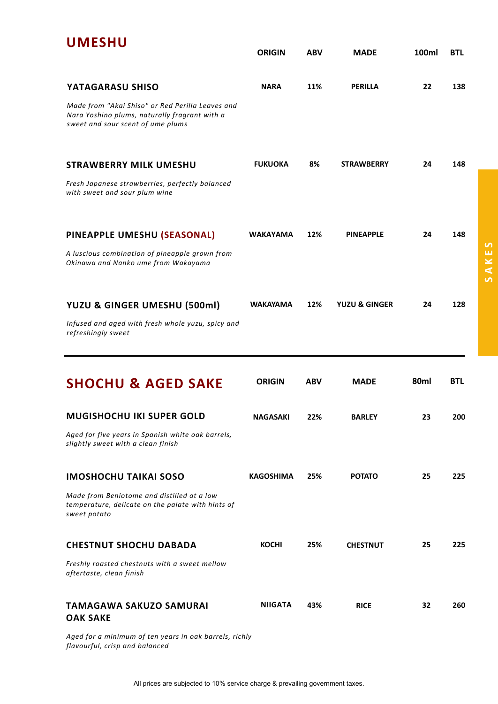| <b>UMESHU</b>                                                                                                                          | <b>ORIGIN</b>    | <b>ABV</b> | <b>MADE</b>              | 100ml | <b>BTL</b> |
|----------------------------------------------------------------------------------------------------------------------------------------|------------------|------------|--------------------------|-------|------------|
| YATAGARASU SHISO                                                                                                                       | <b>NARA</b>      | 11%        | <b>PERILLA</b>           | 22    | 138        |
| Made from "Akai Shiso" or Red Perilla Leaves and<br>Nara Yoshino plums, naturally fragrant with a<br>sweet and sour scent of ume plums |                  |            |                          |       |            |
| <b>STRAWBERRY MILK UMESHU</b>                                                                                                          | <b>FUKUOKA</b>   | 8%         | <b>STRAWBERRY</b>        | 24    | 148        |
| Fresh Japanese strawberries, perfectly balanced<br>with sweet and sour plum wine                                                       |                  |            |                          |       |            |
| PINEAPPLE UMESHU (SEASONAL)                                                                                                            | <b>WAKAYAMA</b>  | 12%        | <b>PINEAPPLE</b>         | 24    | 148        |
| A luscious combination of pineapple grown from<br>Okinawa and Nanko ume from Wakayama                                                  |                  |            |                          |       |            |
| YUZU & GINGER UMESHU (500ml)                                                                                                           | <b>WAKAYAMA</b>  | 12%        | <b>YUZU &amp; GINGER</b> | 24    | 128        |
| Infused and aged with fresh whole yuzu, spicy and<br>refreshingly sweet                                                                |                  |            |                          |       |            |
| <b>SHOCHU &amp; AGED SAKE</b>                                                                                                          | <b>ORIGIN</b>    | <b>ABV</b> | <b>MADE</b>              | 80ml  | <b>BTL</b> |
| <b>MUGISHOCHU IKI SUPER GOLD</b>                                                                                                       | <b>NAGASAKI</b>  |            |                          |       |            |
|                                                                                                                                        |                  | 22%        | <b>BARLEY</b>            | 23    | 200        |
| Aged for five years in Spanish white oak barrels,<br>slightly sweet with a clean finish                                                |                  |            |                          |       |            |
| <b>IMOSHOCHU TAIKAI SOSO</b>                                                                                                           | <b>KAGOSHIMA</b> | 25%        | <b>POTATO</b>            | 25    | 225        |
| Made from Beniotome and distilled at a low<br>temperature, delicate on the palate with hints of<br>sweet potato                        |                  |            |                          |       |            |
| <b>CHESTNUT SHOCHU DABADA</b>                                                                                                          | <b>KOCHI</b>     | 25%        | <b>CHESTNUT</b>          | 25    | 225        |
| Freshly roasted chestnuts with a sweet mellow<br>aftertaste, clean finish                                                              |                  |            |                          |       |            |
| <b>TAMAGAWA SAKUZO SAMURAI</b><br><b>OAK SAKE</b>                                                                                      | <b>NIIGATA</b>   | 43%        | <b>RICE</b>              | 32    | 260        |

*Aged for a minimum of ten years in oak barrels, richly flavourful, crisp and balanced*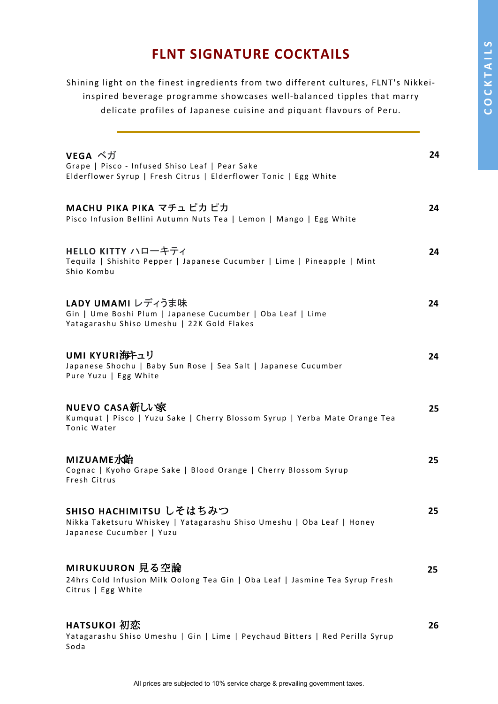# COCKTAILS **COCKTAILS**

# **FLNT SIGNATURE COCKTAILS**

Shining light on the finest ingredients from two different cultures, FLNT's Nikkeiinspired beverage programme showcases well-balanced tipples that marry delicate profiles of Japanese cuisine and piquant flavours of Peru.

| VEGA べガ<br>Grape   Pisco - Infused Shiso Leaf   Pear Sake<br>Elderflower Syrup   Fresh Citrus   Elderflower Tonic   Egg White | 24 |
|-------------------------------------------------------------------------------------------------------------------------------|----|
| MACHU PIKA PIKA マチュ ピカ ピカ<br>Pisco Infusion Bellini Autumn Nuts Tea   Lemon   Mango   Egg White                               | 24 |
| HELLO KITTY ハローキティ<br>Tequila   Shishito Pepper   Japanese Cucumber   Lime   Pineapple   Mint<br>Shio Kombu                   | 24 |
| LADY UMAMI レディうま味<br>Gin   Ume Boshi Plum   Japanese Cucumber   Oba Leaf   Lime<br>Yatagarashu Shiso Umeshu   22K Gold Flakes | 24 |
| UMI KYURI海キュリ<br>Japanese Shochu   Baby Sun Rose   Sea Salt   Japanese Cucumber<br>Pure Yuzu   Egg White                      | 24 |
| <b>NUEVO CASA新しい家</b><br>Kumquat   Pisco   Yuzu Sake   Cherry Blossom Syrup   Yerba Mate Orange Tea<br>Tonic Water            | 25 |
| MIZUAME水飴<br>Cognac   Kyoho Grape Sake   Blood Orange   Cherry Blossom Syrup<br>Fresh Citrus                                  | 25 |
| SHISO HACHIMITSU しそはちみつ<br>Nikka Taketsuru Whiskey   Yatagarashu Shiso Umeshu   Oba Leaf   Honey<br>Japanese Cucumber   Yuzu  | 25 |
| MIRUKUURON 見る空論<br>24hrs Cold Infusion Milk Oolong Tea Gin   Oba Leaf   Jasmine Tea Syrup Fresh<br>Citrus   Egg White         | 25 |
| HATSUKOI 初恋<br>Yatagarashu Shiso Umeshu   Gin   Lime   Peychaud Bitters   Red Perilla Syrup<br>Soda                           | 26 |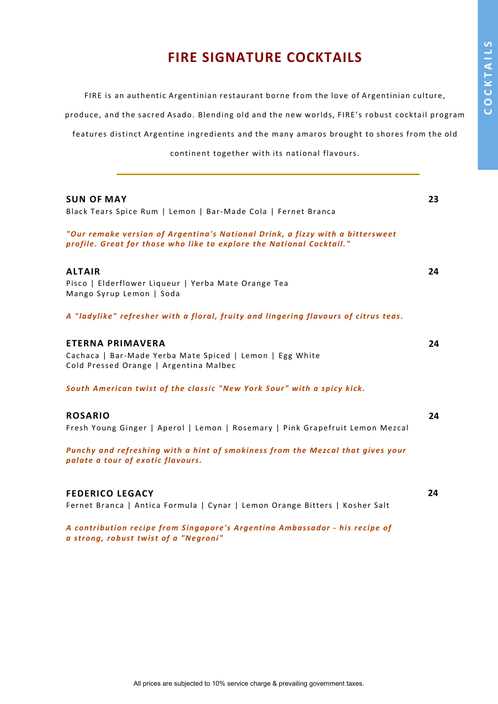# **FIRE SIGNATURE COCKTAILS**

FIRE is an authentic Argentinian restaurant borne from the love of Argentinian culture,

produce, and the sacred Asado. Blending old and the new worlds, FIRE's robust cocktail program

features distinct Argentine ingredients and the many amaros brought to shores from the old

continent together with its national flavours.

| <b>SUN OF MAY</b>                                                                                                                                     | 23 |
|-------------------------------------------------------------------------------------------------------------------------------------------------------|----|
| Black Tears Spice Rum   Lemon   Bar-Made Cola   Fernet Branca                                                                                         |    |
| "Our remake version of Argentina's National Drink, a fizzy with a bittersweet<br>profile. Great for those who like to explore the National Cocktail." |    |
| <b>ALTAIR</b>                                                                                                                                         | 24 |
| Pisco   Elderflower Liqueur   Yerba Mate Orange Tea<br>Mango Syrup Lemon   Soda                                                                       |    |
| A "ladylike" refresher with a floral, fruity and lingering flavours of citrus teas.                                                                   |    |
| <b>ETERNA PRIMAVERA</b>                                                                                                                               | 24 |
| Cachaca   Bar-Made Yerba Mate Spiced   Lemon   Egg White<br>Cold Pressed Orange   Argentina Malbec                                                    |    |
| South American twist of the classic "New York Sour" with a spicy kick.                                                                                |    |
| <b>ROSARIO</b>                                                                                                                                        | 24 |
| Fresh Young Ginger   Aperol   Lemon   Rosemary   Pink Grapefruit Lemon Mezcal                                                                         |    |
| Punchy and refreshing with a hint of smokiness from the Mezcal that gives your<br>palate a tour of exotic flavours.                                   |    |
| <b>FEDERICO LEGACY</b>                                                                                                                                | 24 |
| Fernet Branca   Antica Formula   Cynar   Lemon Orange Bitters   Kosher Salt                                                                           |    |
| A contribution recipe from Singapore's Argentina Ambassador - his recipe of                                                                           |    |

*a strong, robust twist of a "Negroni"*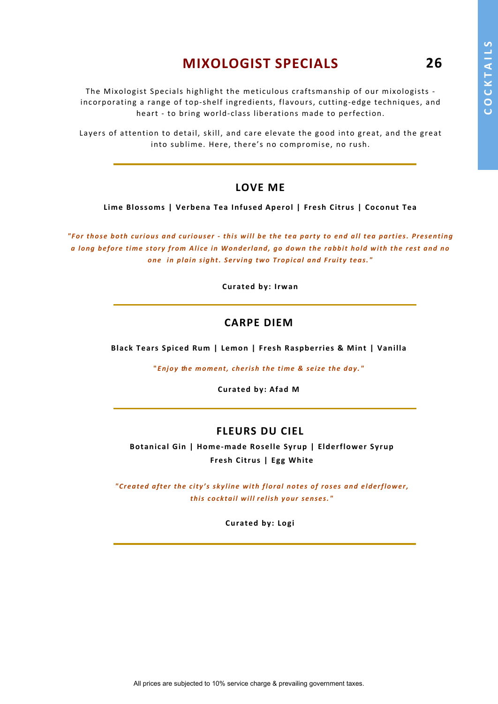**26**

# **MIXOLOGIST SPECIALS**

The Mixologist Specials highlight the meticulous craftsmanship of our mixologists incorporating a range of top-shelf ingredients, flavours, cutting-edge techniques, and heart - to bring world-class liberations made to perfection.

Layers of attention to detail, skill, and care elevate the good into great, and the great into sublime. Here, there's no compromise, no rush.

#### **LOVE ME**

**Lime Blossoms | Verbena Tea Infused Aperol | Fresh Citrus | Coconut Tea**

*"For those both curious and curiouser - this will be the tea party to end all tea parties. Presenting a long before time story from Alice in Wonderland, go down the rabbit hold with the rest and no one in plain sight. Serving two Tropical and Fruity teas."*

**Curated by: Irwan**

#### **CARPE DIEM**

**Black Tears Spiced Rum | Lemon | Fresh Raspberries & Mint | Vanilla**

**"***Enjoy the moment, cherish the time & seize the day."*

**Curated by: Afad M**

#### **FLEURS DU CIEL**

**Botanical Gin | Home-made Roselle Syrup | Elderflower Syrup Fresh Citrus | Egg White**

*"Created after the city's skyline with floral notes of roses and elderflower, this cocktail will relish your senses."*

**Curated by: Logi**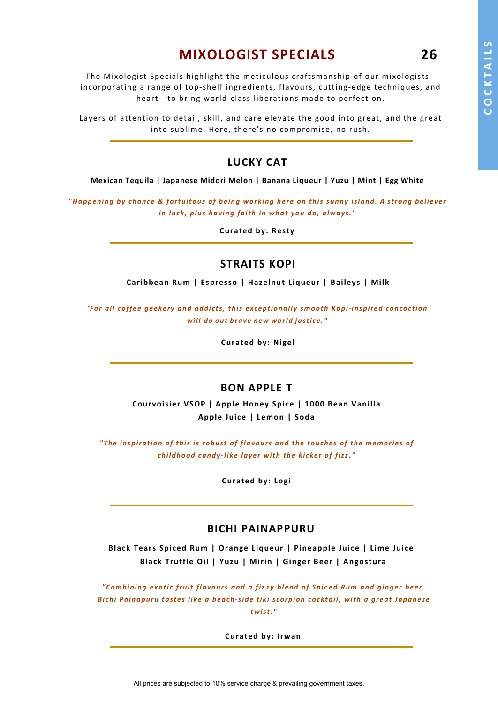**26**

# **MIXOLOGIST SPECIALS**

The Mixologist Specials highlight the meticulous craftsmanship of our mixologists incorporating a range of top-shelf ingredients, flavours, cutting-edge techniques, and heart - to bring world-class liberations made to perfection.

Layers of attention to detail, skill, and care elevate the good into great, and the great into sublime. Here, there's no compromise, no rush.

#### **LUCKY CAT**

**Mexican Tequila | Japanese Midori Melon | Banana Liqueur | Yuzu | Mint | Egg White**

*"Happening by chance & fortuitous of being working here on this sunny island. A strong believer in luck, plus having faith in what you do, always."*

**Curated by: Resty**

#### **STRAITS KOPI**

**Caribbean Rum | Espresso | Hazelnut Liqueur | Baileys | Milk**

*"For all coffee geekery and addi cts, this exceptionally smooth Kopi-inspired concoction will do out brave new world justice."*

**Curated by: Nigel**

#### **BON APPLE T**

**Courvoisier VSOP | Apple Honey Spice | 1000 Bean Vanilla Apple Juice | Lemon | Soda**

*"The inspiration of this is robust of flavours and the touches of the memories of childhood candy-like layer with the ki cker of fizz. "*

**Curated by: Logi**

#### **BICHI PAINAPPURU**

**Black Tears Spiced Rum | Orange Liqueur | Pineapple Juice | Lime Juice Black Truffle Oil | Yuzu | Mirin | Ginger Beer | Angostura**

*"Combining exotic fruit flavours and a fiz zy blend of Spi c ed Rum and ginger beer, Bi chi Painapuru tastes like a beach-side tiki scorpion cocktail, with a great Japanese twist. "*

**Curated by: Irwan**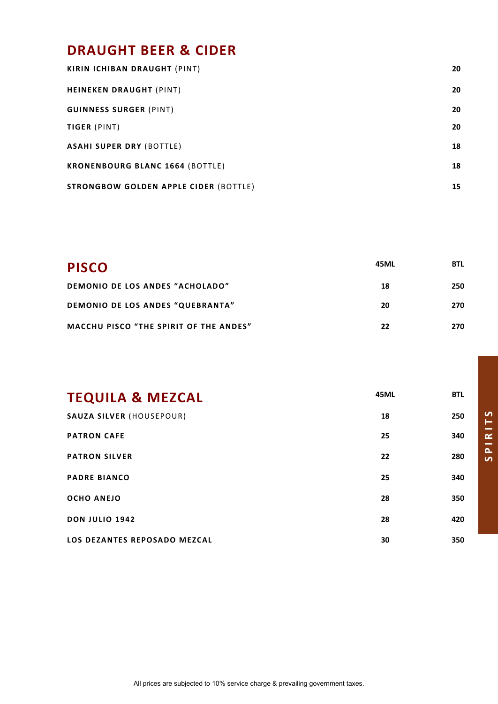# **DRAUGHT BEER & CIDER**

| <b>KIRIN ICHIBAN DRAUGHT (PINT)</b>          | 20 |
|----------------------------------------------|----|
| <b>HEINEKEN DRAUGHT (PINT)</b>               | 20 |
| <b>GUINNESS SURGER (PINT)</b>                | 20 |
| TIGER (PINT)                                 | 20 |
| <b>ASAHI SUPER DRY (BOTTLE)</b>              | 18 |
| <b>KRONENBOURG BLANC 1664 (BOTTLE)</b>       | 18 |
| <b>STRONGBOW GOLDEN APPLE CIDER (BOTTLE)</b> | 15 |

| <b>PISCO</b>                                  | 45ML | <b>BTL</b> |
|-----------------------------------------------|------|------------|
| DEMONIO DE LOS ANDES "ACHOLADO"               | 18   | 250        |
| DEMONIO DE LOS ANDES "QUEBRANTA"              | 20   | 270        |
| <b>MACCHU PISCO "THE SPIRIT OF THE ANDES"</b> | 22   | 270        |

| <b>TEQUILA &amp; MEZCAL</b>     | <b>45ML</b> | <b>BTL</b> |
|---------------------------------|-------------|------------|
| <b>SAUZA SILVER (HOUSEPOUR)</b> | 18          | 250        |
| <b>PATRON CAFE</b>              | 25          | 340        |
| <b>PATRON SILVER</b>            | 22          | 280        |
| <b>PADRE BIANCO</b>             | 25          | 340        |
| <b>OCHO ANEJO</b>               | 28          | 350        |
| <b>DON JULIO 1942</b>           | 28          | 420        |
| LOS DEZANTES REPOSADO MEZCAL    | 30          | 350        |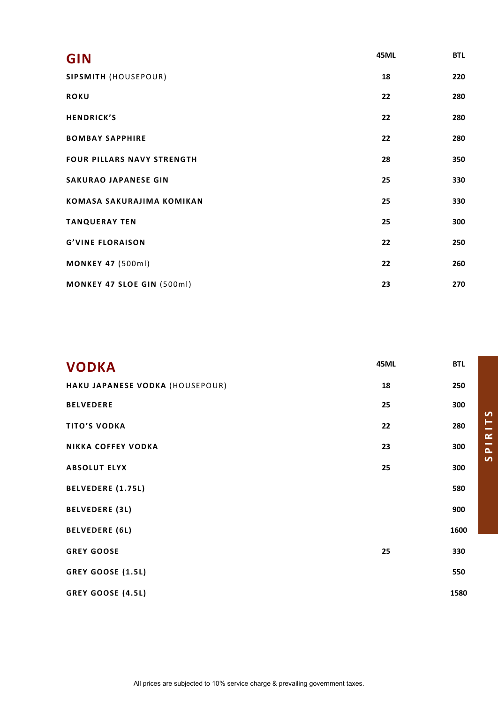| <b>GIN</b>                       | <b>45ML</b> | <b>BTL</b> |
|----------------------------------|-------------|------------|
| SIPSMITH (HOUSEPOUR)             | 18          | 220        |
| <b>ROKU</b>                      | 22          | 280        |
| <b>HENDRICK'S</b>                | 22          | 280        |
| <b>BOMBAY SAPPHIRE</b>           | 22          | 280        |
| FOUR PILLARS NAVY STRENGTH       | 28          | 350        |
| <b>SAKURAO JAPANESE GIN</b>      | 25          | 330        |
| <b>KOMASA SAKURAJIMA KOMIKAN</b> | 25          | 330        |
| <b>TANQUERAY TEN</b>             | 25          | 300        |
| <b>G'VINE FLORAISON</b>          | 22          | 250        |
| <b>MONKEY 47 (500ml)</b>         | 22          | 260        |
| MONKEY 47 SLOE GIN (500ml)       | 23          | 270        |

| <b>VODKA</b>                    | <b>45ML</b> | <b>BTL</b> |
|---------------------------------|-------------|------------|
| HAKU JAPANESE VODKA (HOUSEPOUR) | 18          | 250        |
| <b>BELVEDERE</b>                | 25          | 300        |
| <b>TITO'S VODKA</b>             | 22          | 280        |
| <b>NIKKA COFFEY VODKA</b>       | 23          | 300        |
| <b>ABSOLUT ELYX</b>             | 25          | 300        |
| <b>BELVEDERE (1.75L)</b>        |             | 580        |
| <b>BELVEDERE (3L)</b>           |             | 900        |
| <b>BELVEDERE (6L)</b>           |             | 1600       |
| <b>GREY GOOSE</b>               | 25          | 330        |
| <b>GREY GOOSE (1.5L)</b>        |             | 550        |
| GREY GOOSE (4.5L)               |             | 1580       |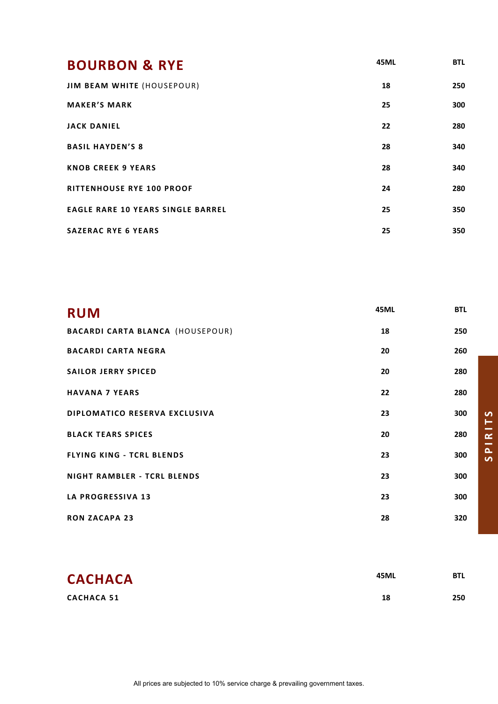| <b>BOURBON &amp; RYE</b>                 | 45ML | <b>BTL</b> |
|------------------------------------------|------|------------|
| <b>JIM BEAM WHITE (HOUSEPOUR)</b>        | 18   | 250        |
| <b>MAKER'S MARK</b>                      | 25   | 300        |
| <b>JACK DANIEL</b>                       | 22   | 280        |
| <b>BASIL HAYDEN'S 8</b>                  | 28   | 340        |
| <b>KNOB CREEK 9 YEARS</b>                | 28   | 340        |
| <b>RITTENHOUSE RYE 100 PROOF</b>         | 24   | 280        |
| <b>EAGLE RARE 10 YEARS SINGLE BARREL</b> | 25   | 350        |
| <b>SAZERAC RYE 6 YEARS</b>               | 25   | 350        |

| <b>RUM</b>                              | <b>45ML</b> | <b>BTL</b> |
|-----------------------------------------|-------------|------------|
| <b>BACARDI CARTA BLANCA (HOUSEPOUR)</b> | 18          | 250        |
| <b>BACARDI CARTA NEGRA</b>              | 20          | 260        |
| <b>SAILOR JERRY SPICED</b>              | 20          | 280        |
| <b>HAVANA 7 YEARS</b>                   | 22          | 280        |
| <b>DIPLOMATICO RESERVA EXCLUSIVA</b>    | 23          | 300        |
| <b>BLACK TEARS SPICES</b>               | 20          | 280        |
| <b>FLYING KING - TCRL BLENDS</b>        | 23          | 300        |
| <b>NIGHT RAMBLER - TCRL BLENDS</b>      | 23          | 300        |
| <b>LA PROGRESSIVA 13</b>                | 23          | 300        |
| <b>RON ZACAPA 23</b>                    | 28          | 320        |

| <b>CACHACA</b>    | 45ML | BTL |
|-------------------|------|-----|
| <b>CACHACA 51</b> | 18   | 250 |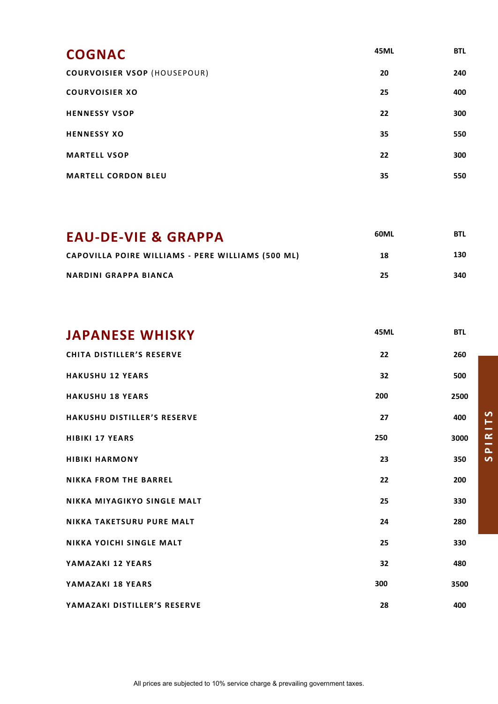| <b>COGNAC</b>                       | <b>45ML</b> | <b>BTL</b> |
|-------------------------------------|-------------|------------|
| <b>COURVOISIER VSOP (HOUSEPOUR)</b> | 20          | 240        |
| <b>COURVOISIER XO</b>               | 25          | 400        |
| <b>HENNESSY VSOP</b>                | 22          | 300        |
| <b>HENNESSY XO</b>                  | 35          | 550        |
| <b>MARTELL VSOP</b>                 | 22          | 300        |
| <b>MARTELL CORDON BLEU</b>          | 35          | 550        |

| <b>EAU-DE-VIE &amp; GRAPPA</b>                    | 60ML | <b>BTL</b> |
|---------------------------------------------------|------|------------|
| CAPOVILLA POIRE WILLIAMS - PERE WILLIAMS (500 ML) | 18   | 130        |
| <b>NARDINI GRAPPA BIANCA</b>                      | 25   | 340        |

| <b>JAPANESE WHISKY</b>             | 45ML | <b>BTL</b> |
|------------------------------------|------|------------|
| <b>CHITA DISTILLER'S RESERVE</b>   | 22   | 260        |
| <b>HAKUSHU 12 YEARS</b>            | 32   | 500        |
| <b>HAKUSHU 18 YEARS</b>            | 200  | 2500       |
| <b>HAKUSHU DISTILLER'S RESERVE</b> | 27   | 400        |
| <b>HIBIKI 17 YEARS</b>             | 250  | 3000       |
| <b>HIBIKI HARMONY</b>              | 23   | 350        |
| <b>NIKKA FROM THE BARREL</b>       | 22   | 200        |
| NIKKA MIYAGIKYO SINGLE MALT        | 25   | 330        |
| <b>NIKKA TAKETSURU PURE MALT</b>   | 24   | 280        |
| <b>NIKKA YOICHI SINGLE MALT</b>    | 25   | 330        |
| YAMAZAKI 12 YEARS                  | 32   | 480        |
| YAMAZAKI 18 YEARS                  | 300  | 3500       |
| YAMAZAKI DISTILLER'S RESERVE       | 28   | 400        |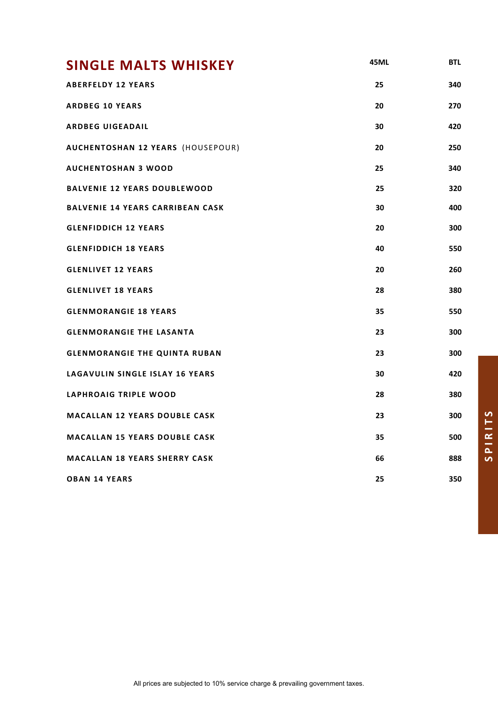| <b>SINGLE MALTS WHISKEY</b>             | <b>45ML</b> | <b>BTL</b> |
|-----------------------------------------|-------------|------------|
| <b>ABERFELDY 12 YEARS</b>               | 25          | 340        |
| <b>ARDBEG 10 YEARS</b>                  | 20          | 270        |
| <b>ARDBEG UIGEADAIL</b>                 | 30          | 420        |
| AUCHENTOSHAN 12 YEARS (HOUSEPOUR)       | 20          | 250        |
| <b>AUCHENTOSHAN 3 WOOD</b>              | 25          | 340        |
| <b>BALVENIE 12 YEARS DOUBLEWOOD</b>     | 25          | 320        |
| <b>BALVENIE 14 YEARS CARRIBEAN CASK</b> | 30          | 400        |
| <b>GLENFIDDICH 12 YEARS</b>             | 20          | 300        |
| <b>GLENFIDDICH 18 YEARS</b>             | 40          | 550        |
| <b>GLENLIVET 12 YEARS</b>               | 20          | 260        |
| <b>GLENLIVET 18 YEARS</b>               | 28          | 380        |
| <b>GLENMORANGIE 18 YEARS</b>            | 35          | 550        |
| <b>GLENMORANGIE THE LASANTA</b>         | 23          | 300        |
| <b>GLENMORANGIE THE QUINTA RUBAN</b>    | 23          | 300        |
| LAGAVULIN SINGLE ISLAY 16 YEARS         | 30          | 420        |
| LAPHROAIG TRIPLE WOOD                   | 28          | 380        |
| <b>MACALLAN 12 YEARS DOUBLE CASK</b>    | 23          | 300        |
| <b>MACALLAN 15 YEARS DOUBLE CASK</b>    | 35          | 500        |
| <b>MACALLAN 18 YEARS SHERRY CASK</b>    | 66          | 888        |
| <b>OBAN 14 YEARS</b>                    | 25          | 350        |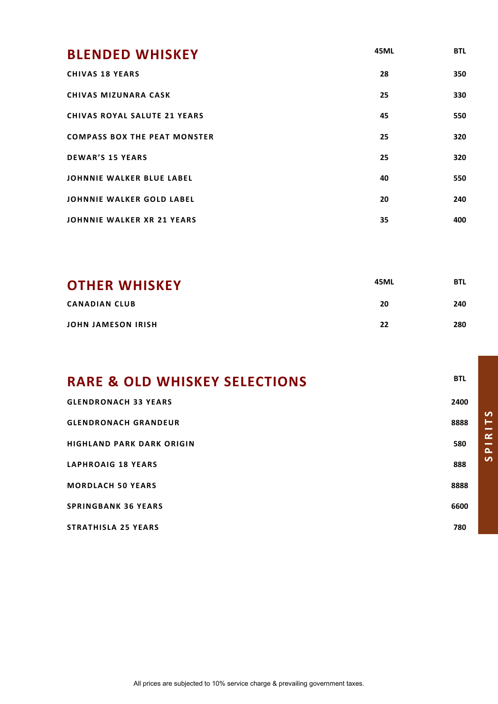| <b>BLENDED WHISKEY</b>              | 45ML | <b>BTL</b> |
|-------------------------------------|------|------------|
| <b>CHIVAS 18 YEARS</b>              | 28   | 350        |
| <b>CHIVAS MIZUNARA CASK</b>         | 25   | 330        |
| <b>CHIVAS ROYAL SALUTE 21 YEARS</b> | 45   | 550        |
| <b>COMPASS BOX THE PEAT MONSTER</b> | 25   | 320        |
| <b>DEWAR'S 15 YEARS</b>             | 25   | 320        |
| <b>JOHNNIE WALKER BLUE LABEL</b>    | 40   | 550        |
| <b>JOHNNIE WALKER GOLD LABEL</b>    | 20   | 240        |
| <b>JOHNNIE WALKER XR 21 YEARS</b>   | 35   | 400        |

| <b>OTHER WHISKEY</b>      | 45ML | <b>BTL</b> |
|---------------------------|------|------------|
| <b>CANADIAN CLUB</b>      | 20   | 240        |
| <b>JOHN JAMESON IRISH</b> | 22   | 280        |

| <b>RARE &amp; OLD WHISKEY SELECTIONS</b> | <b>BTL</b> |
|------------------------------------------|------------|
| <b>GLENDRONACH 33 YEARS</b>              | 2400       |
| <b>GLENDRONACH GRANDEUR</b>              | 8888       |
| <b>HIGHLAND PARK DARK ORIGIN</b>         | 580        |
| <b>LAPHROAIG 18 YEARS</b>                | 888        |
| <b>MORDLACH 50 YEARS</b>                 | 8888       |
| <b>SPRINGBANK 36 YEARS</b>               | 6600       |
| <b>STRATHISLA 25 YEARS</b>               | 780        |

**SPIRITS**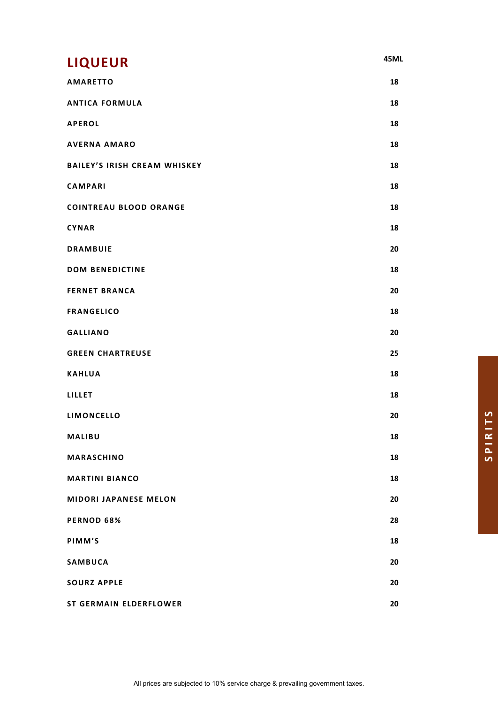| <b>LIQUEUR</b>                      | 45ML |
|-------------------------------------|------|
| <b>AMARETTO</b>                     | 18   |
| <b>ANTICA FORMULA</b>               | 18   |
| <b>APEROL</b>                       | 18   |
| <b>AVERNA AMARO</b>                 | 18   |
| <b>BAILEY'S IRISH CREAM WHISKEY</b> | 18   |
| <b>CAMPARI</b>                      | 18   |
| <b>COINTREAU BLOOD ORANGE</b>       | 18   |
| <b>CYNAR</b>                        | 18   |
| <b>DRAMBUIE</b>                     | 20   |
| <b>DOM BENEDICTINE</b>              | 18   |
| <b>FERNET BRANCA</b>                | 20   |
| <b>FRANGELICO</b>                   | 18   |
| <b>GALLIANO</b>                     | 20   |
| <b>GREEN CHARTREUSE</b>             | 25   |
| <b>KAHLUA</b>                       | 18   |
| LILLET                              | 18   |
| LIMONCELLO                          | 20   |
| MALIBU                              | 18   |
| MARASCHINO                          | 18   |
| <b>MARTINI BIANCO</b>               | 18   |
| <b>MIDORI JAPANESE MELON</b>        | 20   |
| PERNOD 68%                          | 28   |
| PIMM'S                              | 18   |
| <b>SAMBUCA</b>                      | 20   |
| <b>SOURZ APPLE</b>                  | 20   |
| <b>ST GERMAIN ELDERFLOWER</b>       | 20   |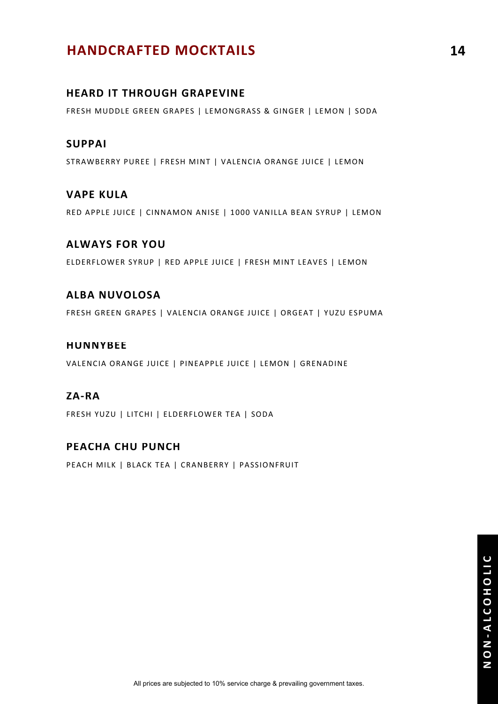## **HANDCRAFTED MOCKTAILS 14**

#### **HEARD IT THROUGH GRAPEVINE**

FRESH MUDDLE GREEN GRAPES | LEMONGRASS & GINGER | LEMON | SODA

#### **SUPPAI**

STRAWBERRY PUREE | FRESH MINT | VALENCIA ORANGE JUICE | LEMON

#### **VAPE KULA**

RED APPLE JUICE | CINNAMON ANISE | 1000 VANILLA BEAN SYRUP | LEMON

#### **ALWAYS FOR YOU**

ELDERFLOWER SYRUP | RED APPLE JUICE | FRESH MINT LEAVES | LEMON

#### **ALBA NUVOLOSA**

FRESH GREEN GRAPES | VALENCIA ORANGE JUICE | ORGEAT | YUZU ESPUMA

#### **HUNNYBEE**

VALENCIA ORANGE JUICE | PINEAPPLE JUICE | LEMON | GRENADINE

#### **ZA-RA**

FRESH YUZU | LITCHI | ELDERFLOWER TEA | SODA

#### **PEACHA CHU PUNCH**

PEACH MILK | BLACK TEA | CRANBERRY | PASSIONFRUIT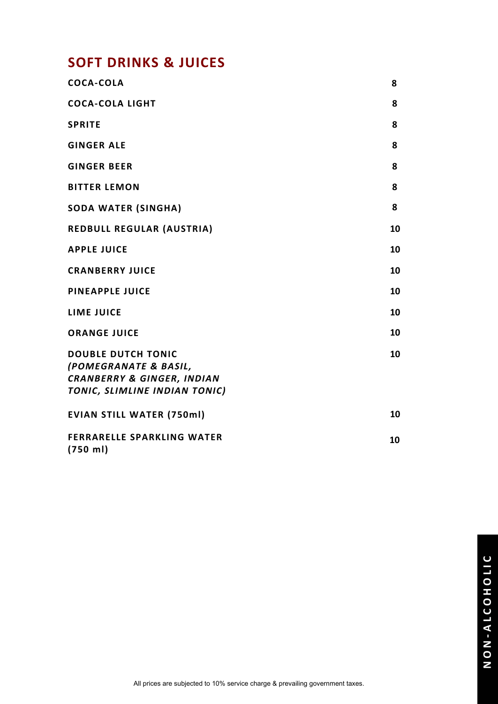# **SOFT DRINKS & JUICES**

| <b>COCA-COLA</b>                                                                                                             | 8  |
|------------------------------------------------------------------------------------------------------------------------------|----|
| <b>COCA-COLA LIGHT</b>                                                                                                       | 8  |
| <b>SPRITE</b>                                                                                                                | 8  |
| <b>GINGER ALE</b>                                                                                                            | 8  |
| <b>GINGER BEER</b>                                                                                                           | 8  |
| <b>BITTER LEMON</b>                                                                                                          | 8  |
| <b>SODA WATER (SINGHA)</b>                                                                                                   | 8  |
| <b>REDBULL REGULAR (AUSTRIA)</b>                                                                                             | 10 |
| <b>APPLE JUICE</b>                                                                                                           | 10 |
| <b>CRANBERRY JUICE</b>                                                                                                       | 10 |
| <b>PINEAPPLE JUICE</b>                                                                                                       | 10 |
| <b>LIME JUICE</b>                                                                                                            | 10 |
| <b>ORANGE JUICE</b>                                                                                                          | 10 |
| <b>DOUBLE DUTCH TONIC</b><br>(POMEGRANATE & BASIL,<br><b>CRANBERRY &amp; GINGER, INDIAN</b><br>TONIC, SLIMLINE INDIAN TONIC) | 10 |
| <b>EVIAN STILL WATER (750ml)</b>                                                                                             | 10 |
| <b>FERRARELLE SPARKLING WATER</b><br>(750 ml)                                                                                | 10 |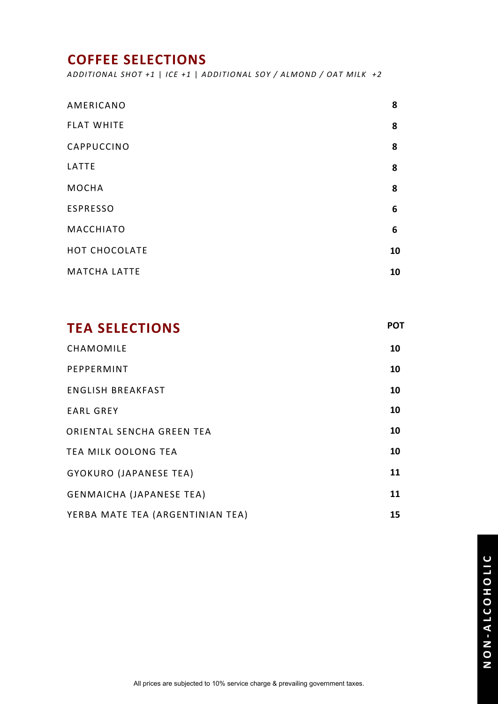## **COFFEE SELECTIONS**

*ADDITIONAL SHOT +1* | *ICE +1* | *ADDITIONAL SOY / ALMOND / OAT MILK +2*

| AMERICANO           | 8  |
|---------------------|----|
| <b>FLAT WHITE</b>   | 8  |
| CAPPUCCINO          | 8  |
| LATTE               | 8  |
| <b>MOCHA</b>        | 8  |
| <b>ESPRESSO</b>     | 6  |
| <b>MACCHIATO</b>    | 6  |
| HOT CHOCOLATE       | 10 |
| <b>MATCHA LATTE</b> | 10 |

| <b>TEA SELECTIONS</b>            | <b>POT</b> |
|----------------------------------|------------|
| CHAMOMILE                        | 10         |
| PEPPERMINT                       | 10         |
| <b>ENGLISH BREAKFAST</b>         | 10         |
| <b>EARL GREY</b>                 | 10         |
| ORIENTAL SENCHA GREEN TEA        | 10         |
| <b>TEA MILK OOLONG TEA</b>       | 10         |
| GYOKURO (JAPANESE TEA)           | 11         |
| <b>GENMAICHA (JAPANESE TEA)</b>  | 11         |
| YERBA MATE TEA (ARGENTINIAN TEA) | 15         |